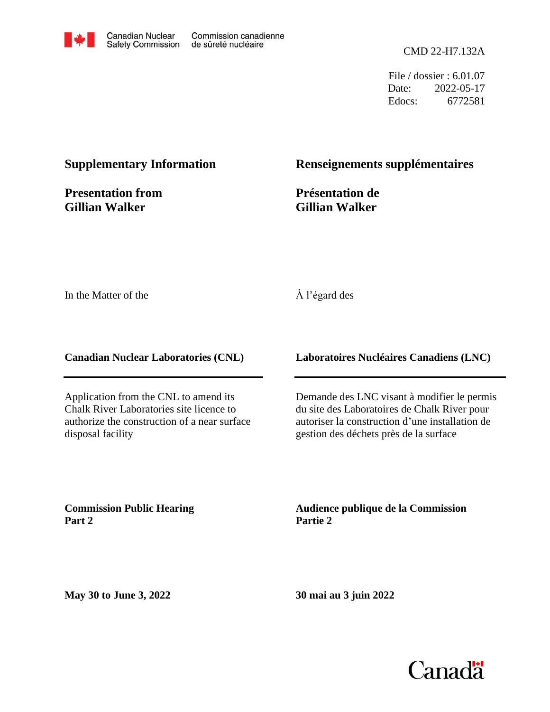

File / dossier : 6.01.07 Date: 2022-05-17 Edocs: 6772581

#### **Supplementary Information**

**Presentation from Gillian Walker**

#### **Renseignements supplémentaires**

**Présentation de Gillian Walker**

In the Matter of the

#### À l'égard des

**Canadian Nuclear Laboratories (CNL)**

Application from the CNL to amend its Chalk River Laboratories site licence to authorize the construction of a near surface disposal facility

**Laboratoires Nucléaires Canadiens (LNC)**

Demande des LNC visant à modifier le permis du site des Laboratoires de Chalk River pour autoriser la construction d'une installation de gestion des déchets près de la surface

**Commission Public Hearing Part 2**

**Audience publique de la Commission Partie 2**

**May 30 to June 3, 2022**

**30 mai au 3 juin 2022**

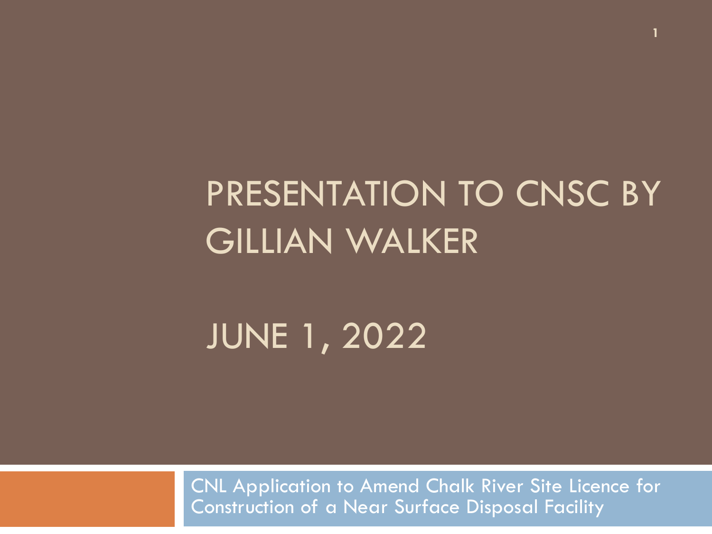# PRESENTATION TO CNSC BY GILLIAN WALKER

**1**

#### JUNE 1, 2022

CNL Application to Amend Chalk River Site Licence for Construction of a Near Surface Disposal Facility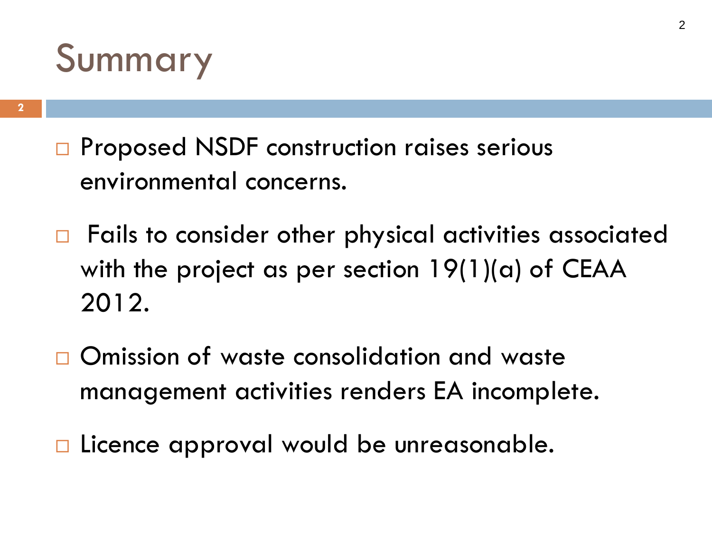### Summary

- □ Proposed NSDF construction raises serious environmental concerns.
- $\Box$  Fails to consider other physical activities associated with the project as per section  $19(1)(a)$  of CEAA 2012.
- □ Omission of waste consolidation and waste management activities renders EA incomplete.
- □ Licence approval would be unreasonable.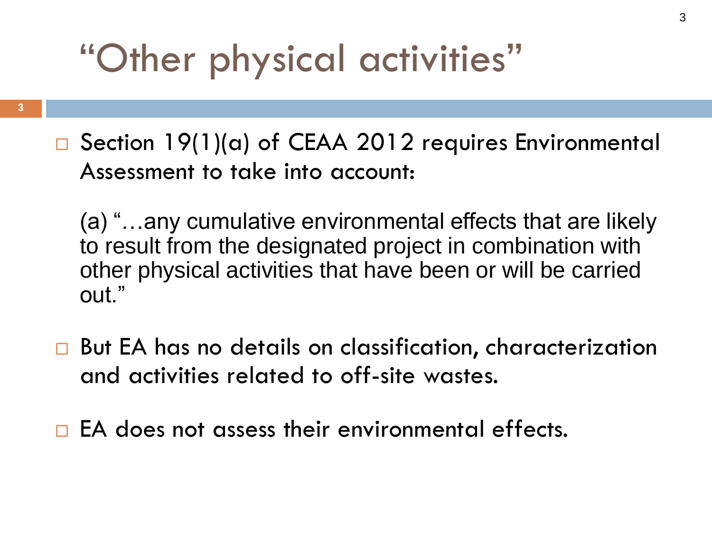# "Other physical activities"

- **3**
- Section 19(1)(a) of CEAA 2012 requires Environmental Assessment to take into account:
	- (a) "…any cumulative environmental effects that are likely to result from the designated project in combination with other physical activities that have been or will be carried out."
- □ But EA has no details on classification, characterization and activities related to off-site wastes.
- $\Box$  EA does not assess their environmental effects.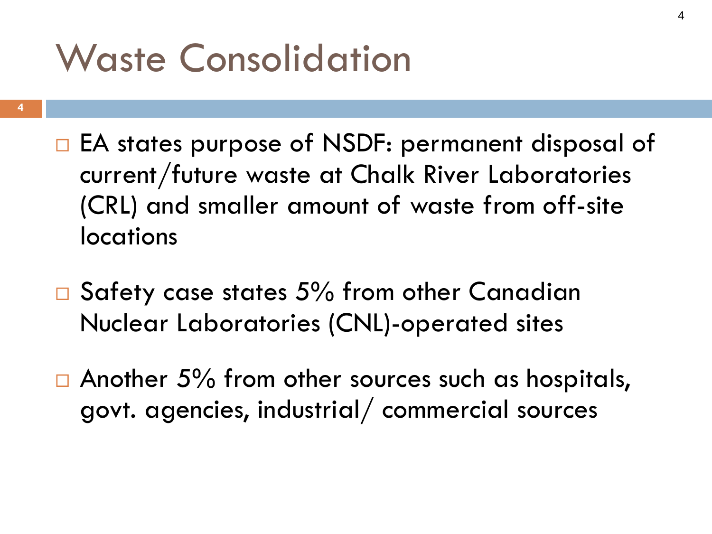## Waste Consolidation

- **4**
- □ EA states purpose of NSDF: permanent disposal of current/future waste at Chalk River Laboratories (CRL) and smaller amount of waste from off-site locations
- $\square$  Safety case states 5% from other Canadian Nuclear Laboratories (CNL)-operated sites
- $\Box$  Another 5% from other sources such as hospitals, govt. agencies, industrial/ commercial sources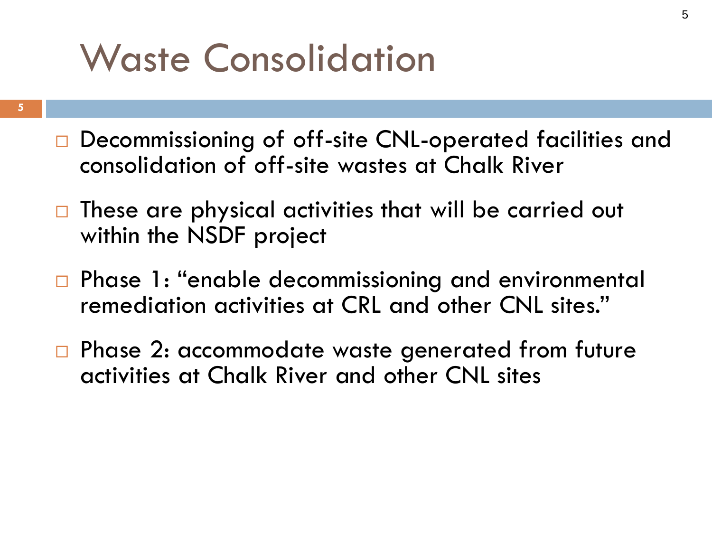# Waste Consolidation

- **5**
- Decommissioning of off-site CNL-operated facilities and consolidation of off-site wastes at Chalk River
- $\Box$  These are physical activities that will be carried out within the NSDF project
- □ Phase 1: "enable decommissioning and environmental remediation activities at CRL and other CNL sites."
- □ Phase 2: accommodate waste generated from future activities at Chalk River and other CNL sites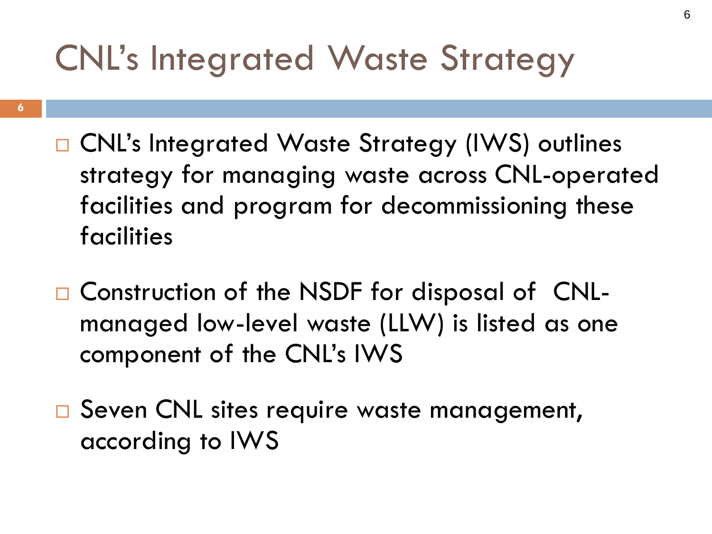#### CNL's Integrated Waste Strategy

- **6**
- □ CNL's Integrated Waste Strategy (IWS) outlines strategy for managing waste across CNL-operated facilities and program for decommissioning these facilities
- □ Construction of the NSDF for disposal of CNLmanaged low-level waste (LLW) is listed as one component of the CNL's IWS
- □ Seven CNL sites require waste management, according to IWS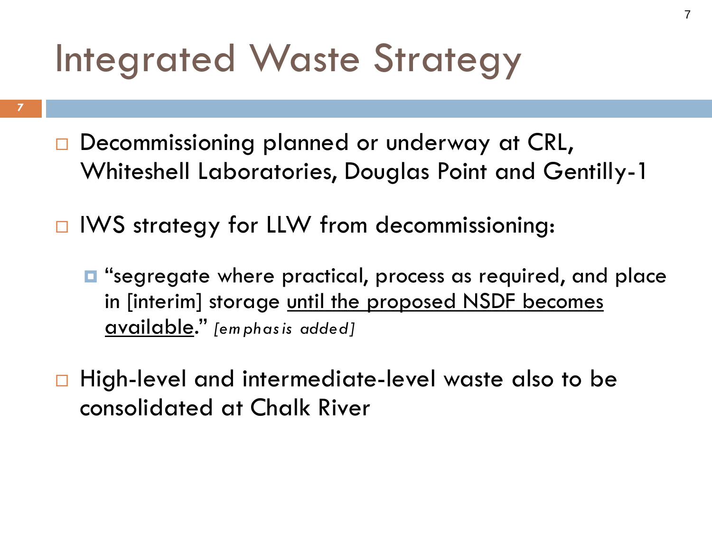# Integrated Waste Strategy

- **7**
- Decommissioning planned or underway at CRL, Whiteshell Laboratories, Douglas Point and Gentilly-1
- □ IWS strategy for LLW from decommissioning:
	- "segregate where practical, process as required, and place in [interim] storage until the proposed NSDF becomes available." *[em phas is added]*
- □ High-level and intermediate-level waste also to be consolidated at Chalk River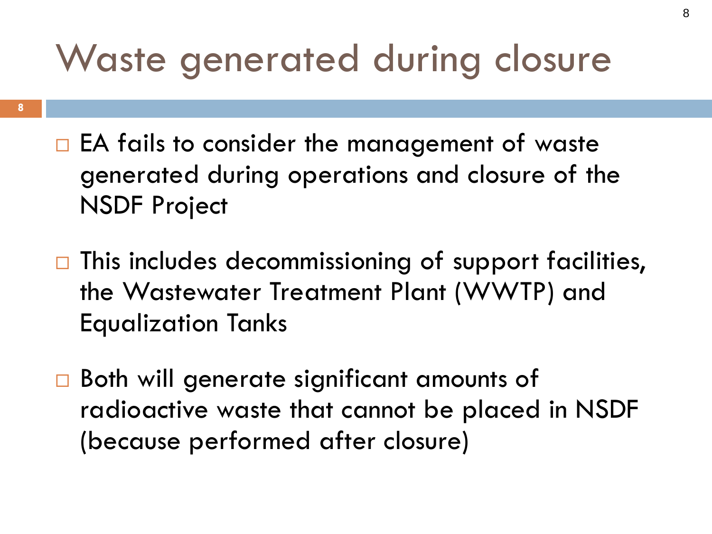# Waste generated during closure

- $\Box$  EA fails to consider the management of waste generated during operations and closure of the NSDF Project
- $\Box$  This includes decommissioning of support facilities, the Wastewater Treatment Plant (WWTP) and Equalization Tanks
- □ Both will generate significant amounts of radioactive waste that cannot be placed in NSDF (because performed after closure)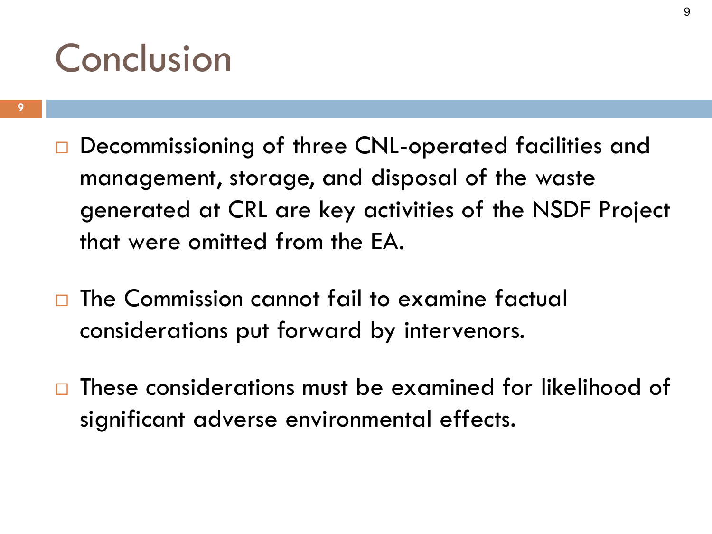### Conclusion

- Decommissioning of three CNL-operated facilities and management, storage, and disposal of the waste generated at CRL are key activities of the NSDF Project that were omitted from the EA.
- The Commission cannot fail to examine factual considerations put forward by intervenors.
- $\Box$  These considerations must be examined for likelihood of significant adverse environmental effects.